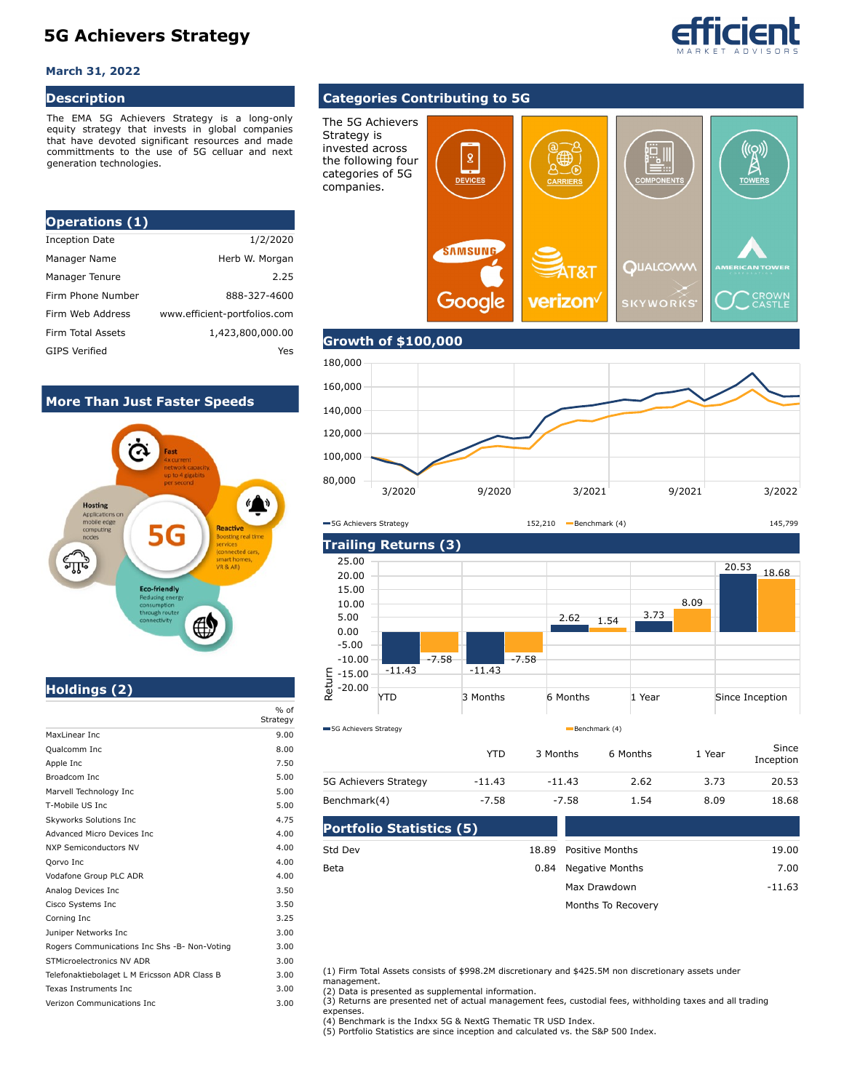# **5G Achievers Strategy**

#### **March 31, 2022**

### **Description**

The EMA 5G Achievers Strategy is a long-only equity strategy that invests in global companies that have devoted significant resources and made committments to the use of 5G celluar and next generation technologies.

| <b>Operations (1)</b> |                              |
|-----------------------|------------------------------|
| <b>Inception Date</b> | 1/2/2020                     |
| Manager Name          | Herb W. Morgan               |
| Manager Tenure        | 2.25                         |
| Firm Phone Number     | 888-327-4600                 |
| Firm Web Address      | www.efficient-portfolios.com |
| Firm Total Assets     | 1,423,800,000.00             |
| <b>GIPS Verified</b>  | Yes                          |

### **More Than Just Faster Speeds**



# **Holdings (2)**

|                                              | $%$ of<br>Strategy |
|----------------------------------------------|--------------------|
| MaxLinear Inc                                | 9.00               |
| Qualcomm Inc                                 | 8.00               |
| Apple Inc                                    | 7.50               |
| Broadcom Inc                                 | 5.00               |
| Marvell Technology Inc                       | 5.00               |
| T-Mobile US Inc.                             | 5.00               |
| Skyworks Solutions Inc                       | 4.75               |
| Advanced Micro Devices Inc.                  | 4.00               |
| <b>NXP Semiconductors NV</b>                 | 4.00               |
| Qorvo Inc                                    | 4.00               |
| Vodafone Group PLC ADR                       | 4.00               |
| Analog Devices Inc                           | 3.50               |
| Cisco Systems Inc                            | 3.50               |
| Corning Inc                                  | 3.25               |
| Juniper Networks Inc                         | 3.00               |
| Rogers Communications Inc Shs -B- Non-Voting | 3.00               |
| STMicroelectronics NV ADR                    | 3.00               |
| Telefonaktiebolaget L M Ericsson ADR Class B | 3.00               |
| Texas Instruments Inc.                       | 3.00               |
| Verizon Communications Inc.                  | 3.00               |

## **Categories Contributing to 5G**

The 5G Achievers Strategy is invested across  $((\varphi))$  $\pmb{2}$ the following four categories of 5G **DEVICES TOWE** companies.**SAMSUNG QUALCOAW** T&T CROWN<br>CASTLE Google verizon **SKYWORK** 

## **Growth of \$100,000**



5G Achievers Strategy 152,210 Benchmark (4) 145,799



|                       | YTD      | 3 Months | 6 Months | 1 Year | Since<br>Inception |
|-----------------------|----------|----------|----------|--------|--------------------|
| 5G Achievers Strategy | $-11.43$ | $-11.43$ | 2.62     | 3.73   | 20.53              |
| Benchmark(4)          | $-7.58$  | $-7.58$  | 1.54     | 8.09   | 18.68              |

| <b>Portfolio Statistics (5)</b> |                       |          |
|---------------------------------|-----------------------|----------|
| Std Dev                         | 18.89 Positive Months | 19.00    |
| Beta                            | 0.84 Negative Months  | 7.00     |
|                                 | Max Drawdown          | $-11.63$ |
|                                 | Months To Recovery    |          |

(1) Firm Total Assets consists of \$998.2M discretionary and \$425.5M non discretionary assets under management.

(2) Data is presented as supplemental information.

(3) Returns are presented net of actual management fees, custodial fees, withholding taxes and all trading expenses.

(4) Benchmark is the Indxx 5G & NextG Thematic TR USD Index. (5) Portfolio Statistics are since inception and calculated vs. the S&P 500 Index.